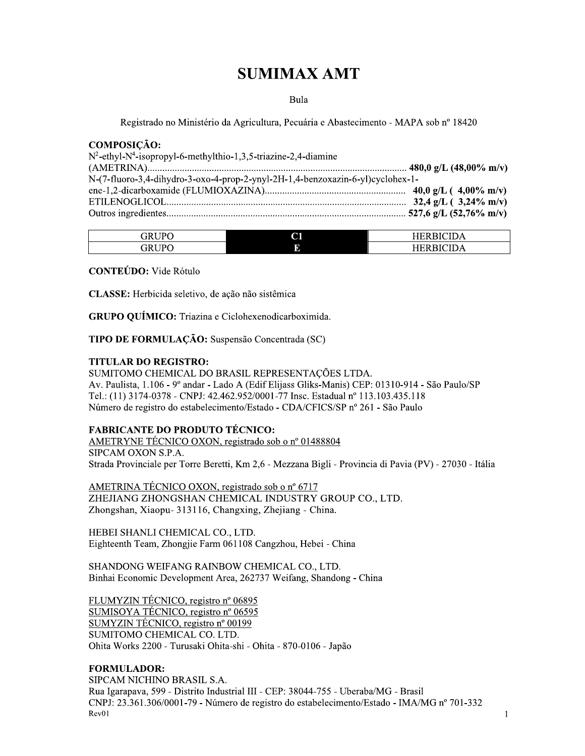# **SUMIMAX AMT**

Bula

Registrado no Ministério da Agricultura, Pecuária e Abastecimento - MAPA sob nº 18420

#### **COMPOSIÇÃO:**

| $N^2$ -ethyl-N <sup>4</sup> -isopropyl-6-methylthio-1,3,5-triazine-2,4-diamine |  |
|--------------------------------------------------------------------------------|--|
|                                                                                |  |
| N-(7-fluoro-3,4-dihydro-3-oxo-4-prop-2-ynyl-2H-1,4-benzoxazin-6-yl)cyclohex-1- |  |
|                                                                                |  |
|                                                                                |  |
|                                                                                |  |

| GRIJPO       | <b>C</b> T<br>$\sim$ | ---------<br>ıΔ<br>-- |
|--------------|----------------------|-----------------------|
| $R$ $\Gamma$ |                      | D<br>. .              |

**CONTEÚDO:** Vide Rótulo

CLASSE: Herbicida seletivo, de ação não sistêmica

GRUPO QUÍMICO: Triazina e Ciclohexenodicarboximida.

TIPO DE FORMULAÇÃO: Suspensão Concentrada (SC)

#### **TITULAR DO REGISTRO:**

SUMITOMO CHEMICAL DO BRASIL REPRESENTAÇÕES LTDA. Av. Paulista, 1.106 - 9° andar - Lado A (Edif Elijass Gliks-Manis) CEP: 01310-914 - São Paulo/SP Tel.: (11) 3174-0378 - CNPJ: 42.462.952/0001-77 Insc. Estadual nº 113.103.435.118 Número de registro do estabelecimento/Estado - CDA/CFICS/SP nº 261 - São Paulo

#### **FABRICANTE DO PRODUTO TÉCNICO:**

AMETRYNE TÉCNICO OXON, registrado sob o nº 01488804 SIPCAM OXON S.P.A. Strada Provinciale per Torre Beretti, Km 2,6 - Mezzana Bigli - Provincia di Pavia (PV) - 27030 - Itália

AMETRINA TÉCNICO OXON, registrado sob o nº 6717 ZHEJIANG ZHONGSHAN CHEMICAL INDUSTRY GROUP CO., LTD. Zhongshan, Xiaopu- 313116, Changxing, Zhejiang - China.

HEBEI SHANLI CHEMICAL CO., LTD. Eighteenth Team, Zhongjie Farm 061108 Cangzhou, Hebei - China

SHANDONG WEIFANG RAINBOW CHEMICAL CO., LTD. Binhai Economic Development Area, 262737 Weifang, Shandong - China

FLUMYZIN TÉCNICO, registro nº 06895 SUMISOYA TÉCNICO, registro nº 06595 SUMYZIN TÉCNICO, registro nº 00199 SUMITOMO CHEMICAL CO. LTD. Ohita Works 2200 - Turusaki Ohita-shi - Ohita - 870-0106 - Japão

#### **FORMULADOR:**

SIPCAM NICHINO BRASIL S.A. Rua Igarapava, 599 - Distrito Industrial III - CEP: 38044-755 - Uberaba/MG - Brasil CNPJ: 23.361.306/0001-79 - Número de registro do estabelecimento/Estado - IMA/MG nº 701-332 Rev01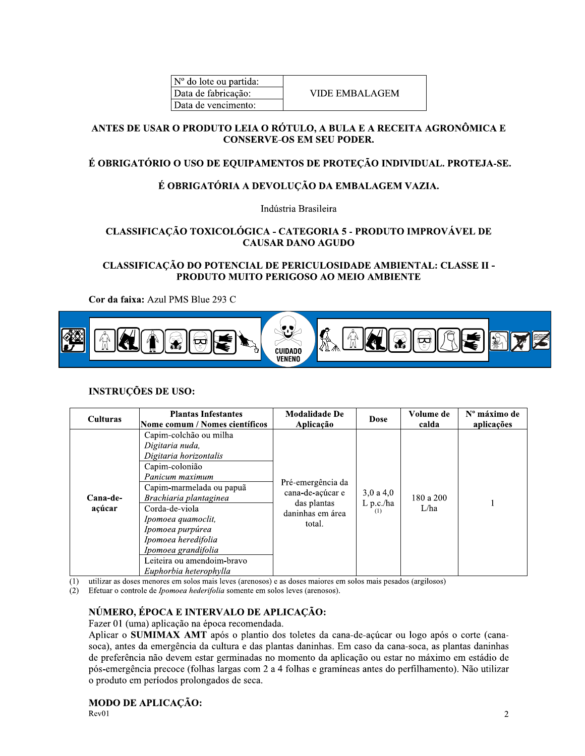| Nº do lote ou partida: |  |
|------------------------|--|
| Data de fabricação:    |  |
| Data de vencimento:    |  |

**VIDE EMBALAGEM** 

#### ANTES DE USAR O PRODUTO LEIA O RÓTULO, A BULA E A RECEITA AGRONÔMICA E **CONSERVE-OS EM SEU PODER.**

# É OBRIGATÓRIO O USO DE EQUIPAMENTOS DE PROTEÇÃO INDIVIDUAL. PROTEJA-SE.

# É OBRIGATÓRIA A DEVOLUÇÃO DA EMBALAGEM VAZIA.

Indústria Brasileira

# CLASSIFICAÇÃO TOXICOLÓGICA - CATEGORIA 5 - PRODUTO IMPROVÁVEL DE **CAUSAR DANO AGUDO**

#### CLASSIFICAÇÃO DO POTENCIAL DE PERICULOSIDADE AMBIENTAL: CLASSE II -PRODUTO MUITO PERIGOSO AO MEIO AMBIENTE

Cor da faixa: Azul PMS Blue 293 C



# **INSTRUÇÕES DE USO:**

| <b>Culturas</b>    | <b>Plantas Infestantes</b><br>Nome comum / Nomes científicos                                                                                                                                                                                                                                                                     | <b>Modalidade De</b><br>Aplicação                                                  | <b>Dose</b>                       | Volume de<br>calda | Nº máximo de<br>aplicações |
|--------------------|----------------------------------------------------------------------------------------------------------------------------------------------------------------------------------------------------------------------------------------------------------------------------------------------------------------------------------|------------------------------------------------------------------------------------|-----------------------------------|--------------------|----------------------------|
| Cana-de-<br>açúcar | Capim-colchão ou milha<br>Digitaria nuda,<br>Digitaria horizontalis<br>Capim-colonião<br>Panicum maximum<br>Capim-marmelada ou papuã<br>Brachiaria plantaginea<br>Corda-de-viola<br>Ipomoea quamoclit,<br>Ipomoea purpúrea<br>Ipomoea heredifolia<br>Ipomoea grandifolia<br>Leiteira ou amendoim-bravo<br>Euphorbia heterophylla | Pré-emergência da<br>cana-de-açúcar e<br>das plantas<br>daninhas em área<br>total. | $3,0$ a 4,0<br>$L$ p.c./ha<br>(1) | 180 a 200<br>L/ha  |                            |

utilizar as doses menores em solos mais leves (arenosos) e as doses maiores em solos mais pesados (argilosos)  $(1)$ 

Efetuar o controle de Ipomoea hederifolia somente em solos leves (arenosos).  $(2)$ 

# NÚMERO, ÉPOCA E INTERVALO DE APLICAÇÃO:

Fazer 01 (uma) aplicação na época recomendada.

Aplicar o SUMIMAX AMT após o plantio dos toletes da cana-de-açúcar ou logo após o corte (canasoca), antes da emergência da cultura e das plantas daninhas. Em caso da cana-soca, as plantas daninhas de preferência não devem estar germinadas no momento da aplicação ou estar no máximo em estádio de pós-emergência precoce (folhas largas com 2 a 4 folhas e gramíneas antes do perfilhamento). Não utilizar o produto em períodos prolongados de seca.

## **MODO DE APLICAÇÃO:**

 $Rev01$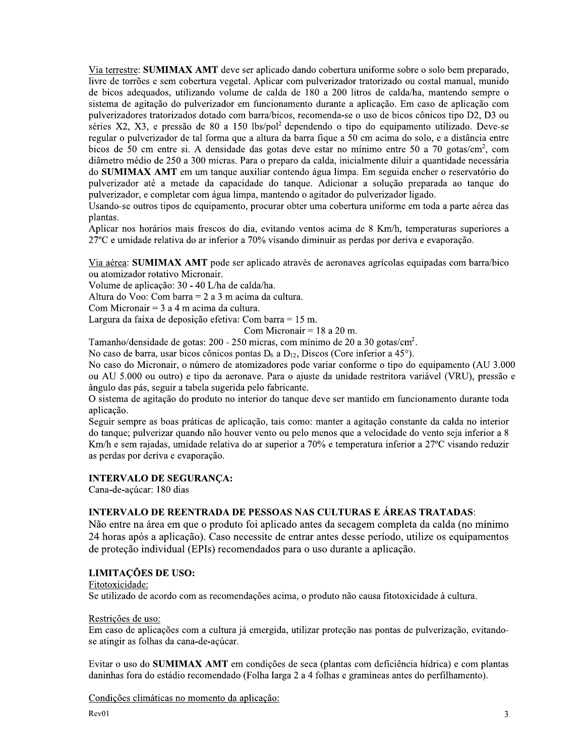Via terrestre: SUMIMAX AMT deve ser aplicado dando cobertura uniforme sobre o solo bem preparado, livre de torrões e sem cobertura vegetal. Aplicar com pulverizador tratorizado ou costal manual, munido de bicos adequados, utilizando volume de calda de 180 a 200 litros de calda/ha, mantendo sempre o sistema de agitação do pulverizador em funcionamento durante a aplicação. Em caso de aplicação com pulverizadores tratorizados dotado com barra/bicos, recomenda-se o uso de bicos cônicos tipo D2, D3 ou séries X2, X3, e pressão de 80 a 150 lbs/pol<sup>2</sup> dependendo o tipo do equipamento utilizado. Deve-se regular o pulverizador de tal forma que a altura da barra figue a 50 cm acima do solo, e a distância entre bicos de 50 cm entre si. A densidade das gotas deve estar no mínimo entre 50 a 70 gotas/cm<sup>2</sup>, com diâmetro médio de 250 a 300 micras. Para o preparo da calda, inicialmente diluir a quantidade necessária do SUMIMAX AMT em um tanque auxiliar contendo água limpa. Em seguida encher o reservatório do pulverizador até a metade da capacidade do tanque. Adicionar a solução preparada ao tanque do pulverizador, e completar com água limpa, mantendo o agitador do pulverizador ligado.

Usando-se outros tipos de equipamento, procurar obter uma cobertura uniforme em toda a parte aérea das plantas.

Aplicar nos horários mais frescos do dia, evitando ventos acima de 8 Km/h, temperaturas superiores a 27°C e umidade relativa do ar inferior a 70% visando diminuir as perdas por deriva e evaporação.

Via aérea: SUMIMAX AMT pode ser aplicado através de aeronaves agrícolas equipadas com barra/bico ou atomizador rotativo Micronair.

Volume de aplicação: 30 - 40 L/ha de calda/ha.

Altura do Voo: Com barra =  $2a3m$  acima da cultura.

Com Micronair =  $3a4m$  acima da cultura.

Largura da faixa de deposição efetiva: Com barra = 15 m.

Com Micronair =  $18$  a  $20$  m.

Tamanho/densidade de gotas: 200 - 250 micras, com mínimo de 20 a 30 gotas/cm<sup>2</sup>.

No caso de barra, usar bicos cônicos pontas  $D_6$  a  $D_{12}$ , Discos (Core inferior a 45°).

No caso do Micronair, o número de atomizadores pode variar conforme o tipo do equipamento (AU 3.000 ou AU 5.000 ou outro) e tipo da aeronave. Para o ajuste da unidade restritora variável (VRU), pressão e ângulo das pás, seguir a tabela sugerida pelo fabricante.

O sistema de agitação do produto no interior do tanque deve ser mantido em funcionamento durante toda aplicação.

Seguir sempre as boas práticas de aplicação, tais como: manter a agitação constante da calda no interior do tanque; pulverizar quando não houver vento ou pelo menos que a velocidade do vento seja inferior a 8 Km/h e sem rajadas, umidade relativa do ar superior a 70% e temperatura inferior a 27°C visando reduzir as perdas por deriva e evaporação.

#### **INTERVALO DE SEGURANÇA:**

Cana-de-açúcar: 180 dias

#### **INTERVALO DE REENTRADA DE PESSOAS NAS CULTURAS E ÁREAS TRATADAS:**

Não entre na área em que o produto foi aplicado antes da secagem completa da calda (no mínimo 24 horas após a aplicação). Caso necessite de entrar antes desse período, utilize os equipamentos de proteção individual (EPIs) recomendados para o uso durante a aplicação.

## **LIMITAÇÕES DE USO:**

Fitotoxicidade:

Se utilizado de acordo com as recomendações acima, o produto não causa fitotoxicidade à cultura.

#### Restrições de uso:

Em caso de aplicações com a cultura já emergida, utilizar proteção nas pontas de pulverização, evitandose atingir as folhas da cana-de-açúcar.

Evitar o uso do SUMIMAX AMT em condições de seca (plantas com deficiência hídrica) e com plantas daninhas fora do estádio recomendado (Folha larga 2 a 4 folhas e gramíneas antes do perfilhamento).

Condições climáticas no momento da aplicação: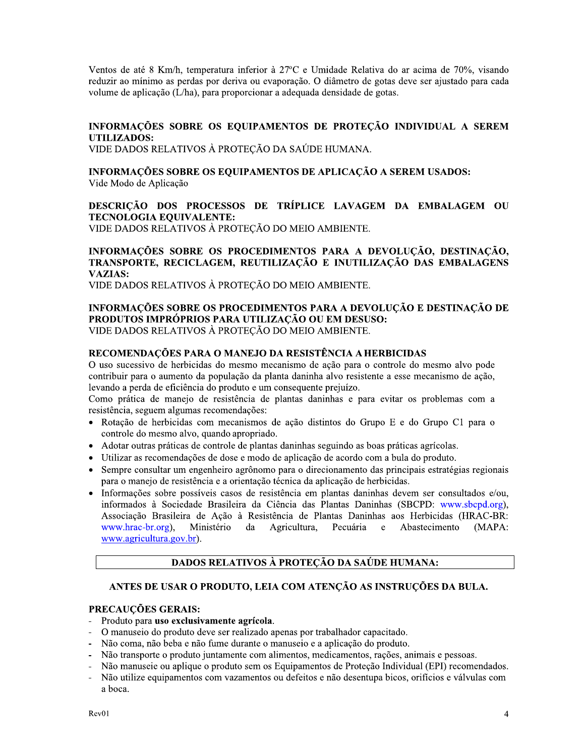Ventos de até 8 Km/h, temperatura inferior à 27 °C e Umidade Relativa do ar acima de 70%, visando reduzir ao minimo as perdas por deriva ou evaporação. O diametro de gotas deve ser ajustado para cada eratura inferior à 27°C e Umidade Relativa do as<br>por deriva ou evaporação. O diâmetro de gotas de<br>para proporcionar a adequada densidade de gotas.<br>**OS EQUIPAMENTOS DE PROTEÇÃO IN**<br>À PROTEÇÃO DA SAÚDE HUMANA.<br>S EQUIPAMENTOS volume de aplicação (L/ha), para proporcionar a adequada densidade de gotas C e Umidade Relativa do ar acima de 70%, visa<br>cão. O diâmetro de gotas deve ser ajustado para c<br>quada densidade de gotas.<br>OS DE PROTEÇÃO INDIVIDUAL A SERI<br>AÚDE HUMANA.<br>S DE APLICAÇÃO A SEREM USADOS: Ventos de até 8 Km/h, temperatura inferior à 27°C e Umidade Relativa do ar acima de 70°<br>
reduzir ao mínimo as perdas por deriva ou evaporação. O diâmetro de gotas deve ser ajustado<br>
volume de aplicação (L/ha), para proporc

# INFORMAÇÕES SOBRE OS EQUIPAMENTOS DE PROTEÇÃO INDIVIDUAL A SEREM UTILIZADOS:<br>VIDE DADOS RELATIVOS À PROTECÃO DA SAÚDE HUMANA.

INFORMAÇÕES SOBRE OS EQUIPAMENTOS DE APLICAÇÃO A SEREM USADOS: Vide Modo de Aplicação

# DESCRIÇAO DOS PROCESSOS DE TRIPLICE LAVAGEM DA EMBALAGEM OU TECNOLOGIA EQUIVALENTE:<br>VIDE DADOS RELATIVOS À PROTEÇÃO DO MEIO AMBIENTE.

# UTILIZADOS:<br>VIDE DADOS RELATIVOS À PROTEÇÃO DA SAÚDE HUMANA.<br>INFORMAÇÕES SOBRE OS EQUIPAMENTOS DE APLICAÇÃO A SEREM USADOS<br>Vide Modo de Aplicação<br>DESCRIÇÃO - DOS - PROCESSOS - DE - TRÍPLICE - LAVAGEM - DA - EMBALAG<br>TECNOLO INFORMAÇOES SOBRE OS PROCEDIMENTOS PARA A DEVOLUÇÃO, DESTINAÇÃO, TRANSPORTE, RECICLAGEM, REUTILIZAÇÃO E INUTILIZAÇÃO DAS EMBALAGENS VAZIAS:<br>VIDE DADOS RELATIVOS À PROTEÇÃO DO MEIO AMBIENTE. DESCRIÇÃO DOS PROCESSOS DE TRÍPLICE LAVAGEM DA EMBALAG<br>TECNOLOGIA EQUIVALENTE:<br>VIDE DADOS RELATIVOS À PROTEÇÃO DO MEIO AMBIENTE.<br>INFORMAÇÕES SOBRE OS PROCEDIMENTOS PARA A DEVOLUÇÃO, DEST<br>TRANSPORTE, RECICLAGEM, REUTILIZAÇÃ INFORMAÇÕES SOBRE OS PROCEDIMENTOS PARA A DEVOLUÇÃO, DEST<br>TRANSPORTE, RECICLAGEM, REUTILIZAÇÃO E INUTILIZAÇÃO DAS EMBA<br>VAZIAS:<br>VIDE DADOS RELATIVOS À PROTEÇÃO DO MEIO AMBIENTE.<br>INFORMAÇÕES SOBRE OS PROCEDIMENTOS PARA A DEV

# $\mathbb{R}^2$ INFORMAÇOES SOBRE OS PROCEDIMENTOS PARA A DEVOLUÇÃO E DESTINAÇÃO DE PRODUTOS IMPRÓPRIOS PARA UTILIZAÇÃO OU EM DESUSO:<br>VIDE DADOS RELATIVOS À PROTEÇÃO DO MEIO AMBIENTE.

#### $\mathbf{r}$ RECOMENDAÇOES PARA O MANEJO DA RESISTENCIA A HERBICIDAS

O uso sucessivo de herbicidas do mesmo mecanismo de ação para o controle do mesmo alvo pode contribuir para o aumento da população da planta daninha alvo resistente a esse mecanismo de ação, levando a perda de eficiencia do produto e um consequente preju **IIMENTOS PARA A DEVOLUÇÃO E DESTI<br>ILIZAÇÃO OU EM DESUSO:**<br>ÃO DO MEIO AMBIENTE.<br>O DA RESISTÊNCIA A HERBICIDAS<br>mecanismo de ação para o controle do mesmo a<br>a planta daninha alvo resistente a esse mecanismo<br>um consequente pr

Como pratica de manejo de resistencia de plantas daninhas e para evitar os problemas com a resistencia, seguem algumas recomendações:

- Rotação de herbicidas com mecanismos de ação distintos do Grupo E e do Grupo C1 para o controle do mesi
- $\bullet$  Adotar outras praticas de controle de plantas daninhas seguindo as boas pratic
- $\bullet$  Utilizar as recomendações de dose e modo de aplicação de acordo com a bula do produto.
- Sempre consultar um engenheiro agronomo para o direcionamento das principais estrategias regionais para o manejo de resistencia e a orientação tecnica da aplicação de heri
- **iÕES PARA O MANEJO DA RESISTÊNCIA A HI**<br>
e herbicidas do mesmo mecanismo de ação para o quumento da população da planta daninha alvo resistere eficiência do produto e um consequente prejuízo.<br>
manejo de resistência de pla A HERBICIDAS<br>a o controle do mesmo alvo pode<br>istente a esse mecanismo de ação,<br>para evitar os problemas com a<br>Grupo E e do Grupo C1 para o<br>as boas práticas agrícolas.<br>lo com a bula do produto.<br>to das principais estratégias ra o controle do mesmo alvo pode<br>sistente a esse mecanismo de ação,<br>p.<br>para evitar os problemas com a<br><br>de Grupo E e do Grupo C1 para o<br>as boas práticas agrícolas.<br>do com a bula do produto.<br>nto das principais estratégias re ente prejuizo.<br>
daninhas e para evitar os problemas com a<br>
distintos do Grupo E e do Grupo C1 para o<br>
as seguindo as boas práticas agrícolas.<br>
ção de acordo com a bula do produto.<br>
lirecionamento das principais estratégias • Informações sobre possíveis casos de resistencia em plantas daninhas devem ser consultados e/ou, informados á Sociedade Brasileira da Ciencia das Plantas do Grupo E e do Grupo C1 para o<br>
ndo as boas práticas agrícolas.<br>
cordo com a bula do produto.<br>
mento das principais estratégias regionais<br>
são de herbicidas.<br>
as daninhas devem ser consultados e/ou,<br>
as Daninhas (SBCPD: w Associação Brasileira de Ação a Resistência de Plantas Daninhas aos Herbicidas (HRAC-BR: controle do mesmo alvo, quando aprop<br>
• Adotar outras práticas de controle de p<br>
• Utilizar as recomendações de dose e m<br>
• Sempre consultar um engenheiro agrô<br>
para o manejo de resistência e a orient<br>
• Informações sobre erio da Agricultura, Pec Pecuária e Abastecimento  $(MAPA)$ Adotar outras práticas de cont<br>
Utilizar as recomendações de c<br>
Sempre consultar um engenhe<br>
para o manejo de resistência e<br>
Informações sobre possíveis<br>
informados à Sociedade Bra<br>
Associação Brasileira de Aç<br>
www.hrac-br Adotar outras práticas de controle de plantas danies<br>
Utilizar as recomendações de dose e modo de apli<br>
Sempre consultar um engenheiro agrônomo para<br>
para o manejo de resistência e a orientação técnica<br>
Informações sobre p

# DADOS RELATIVOS À PROTEÇÃO DA SAÚDE HUMANA:

#### ANTES DE USAR O PRODUTO, LEIA COM ATENÇÃO AS INSTRUÇÕES DA BULA.

#### $\frac{1}{2}$ PRECAUÇOES GERAIS:

- Produto para uso exclusivamente agrícola.
- O manuseio do produto deve ser realizado apenas por trabalhador capacitad
- Nao coma, nao beba e nao fume durante o manuseio e a aplicação do produto.
- Nao transporte o produto juntamente com alimentos, medicamentos, rações, animais e pess
- $\blacksquare$  Nao manusele ou aplique o produto sem os Equipamentos de Proteção Individual (EPI) recomen
- Frac-br.org), Ministerio da Agricultura, Pecuaria<br>
<u>ingricultura.gov.br</u>).<br> **DADOS RELATIVOS À PROTEÇÃO DA SAÚ**<br> **ES DE USAR O PRODUTO, LEIA COM ATENÇÃO AS<br>
JÇÕES GERAIS:**<br>
o para uso exclusivamente agrícola.<br>
useio do pro EÇÃO DA SAÚDE HUMANA:<br>ATENÇÃO AS INSTRUÇÕES DA BULA.<br>or trabalhador capacitado.<br>o e a aplicação do produto.<br>;, medicamentos, rações, animais e pessoas.<br>nentos de Proteção Individual (EPI) recomendados<br>tos e não desentupa b EÇÃO DA SAÚDE HUMANA:<br>ATENÇÃO AS INSTRUÇÕES DA BULA.<br>or trabalhador capacitado.<br>e a aplicação do produto.<br>, medicamentos, rações, animais e pessoas.<br>nentos de Proteção Individual (EPI) recomendados<br>os e não desentupa bicos DE HUMANA:<br>
INSTRUÇÕES DA BULA.<br>
pacitado.<br>
produto.<br>
rações, animais e pessoas.<br>
o Individual (EPI) recomendados.<br>
pa bicos, orifícios e válvulas com<br>
4 UÇÕES DA BULA.<br>
...<br>
...<br>
inimais e pessoas.<br>
...<br>
dual (EPI) recomendados.<br>
...<br>
orifícios e válvulas com<br>
4 - Não utilize equipamentos com vazamentos ou defeitos e não desentupa bicos, oríficios e v **PRECAUÇÕES GERAIS:**<br>
- Produto para uso exclusivamente agrícola.<br>
- O manuseio do produto deve ser realizado apenas por trabalhador capacitado.<br>
- Não coma, não beba e não fume durante o manuseio e a aplicação do produto.

 $\mathbf{r}$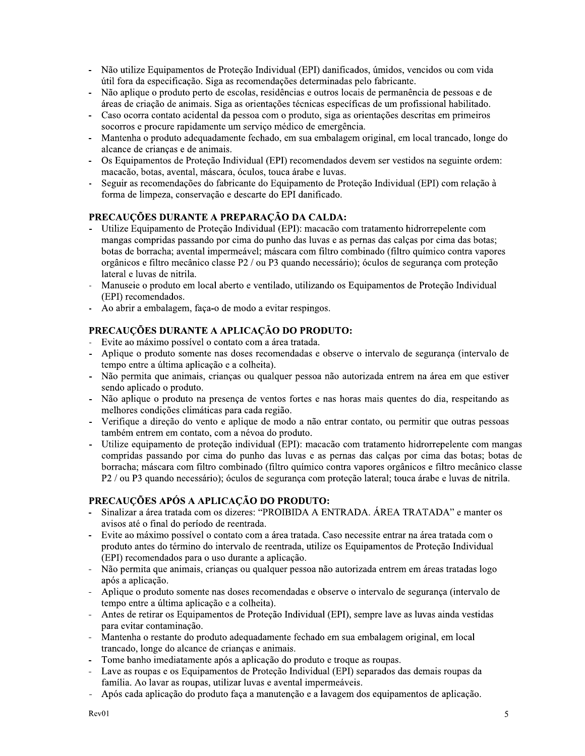- Não utilize Equipamentos de Proteção Individual (EPI) danificados, úmidos, vencidos ou com vida útil fora da especificação. Siga as recomendações determinadas pelo fabricante.
- Não aplique o produto perto de escolas, residências e outros locais de permanência de pessoas e de áreas de criação de animais. Siga as orientações técnicas específicas de um profissional habilitado.
- Caso ocorra contato acidental da pessoa com o produto, siga as orientações descritas em primeiros socorros e procure rapidamente um serviço médico de emergência.
- Mantenha o produto adequadamente fechado, em sua embalagem original, em local trancado, longe do alcance de criancas e de animais.
- Os Equipamentos de Proteção Individual (EPI) recomendados devem ser vestidos na seguinte ordem: macação, botas, avental, máscara, óculos, touca árabe e luvas.
- Seguir as recomendações do fabricante do Equipamento de Proteção Individual (EPI) com relação à forma de limpeza, conservação e descarte do EPI danificado.

# PRECAUCÕES DURANTE A PREPARAÇÃO DA CALDA:

- Utilize Equipamento de Proteção Individual (EPI): macação com tratamento hidrorrepelente com mangas compridas passando por cima do punho das luvas e as pernas das calças por cima das botas; botas de borracha; avental impermeável; máscara com filtro combinado (filtro químico contra vapores orgânicos e filtro mecânico classe P2 / ou P3 quando necessário); óculos de segurança com proteção lateral e luvas de nitrila.
- Manuseie o produto em local aberto e ventilado, utilizando os Equipamentos de Proteção Individual (EPI) recomendados.
- Ao abrir a embalagem, faça-o de modo a evitar respingos.

# PRECAUÇÕES DURANTE A APLICAÇÃO DO PRODUTO:

- Evite ao máximo possível o contato com a área tratada.
- Aplique o produto somente nas doses recomendadas e observe o intervalo de segurança (intervalo de tempo entre a última aplicação e a colheita).
- Não permita que animais, crianças ou qualquer pessoa não autorizada entrem na área em que estiver sendo aplicado o produto.
- Não aplique o produto na presença de ventos fortes e nas horas mais quentes do dia, respeitando as melhores condições climáticas para cada região.
- Verifique a direção do vento e aplique de modo a não entrar contato, ou permitir que outras pessoas também entrem em contato, com a névoa do produto.
- Utilize equipamento de proteção individual (EPI): macação com tratamento hidrorrepelente com mangas compridas passando por cima do punho das luvas e as pernas das calças por cima das botas; botas de borracha; máscara com filtro combinado (filtro químico contra vapores orgânicos e filtro mecânico classe P2 / ou P3 quando necessário); óculos de segurança com proteção lateral; touca árabe e luvas de nitrila.

# PRECAUÇÕES APÓS A APLICAÇÃO DO PRODUTO:

- Sinalizar a área tratada com os dizeres: "PROIBIDA A ENTRADA. ÁREA TRATADA" e manter os avisos até o final do período de reentrada.
- Evite ao máximo possível o contato com a área tratada. Caso necessite entrar na área tratada com o produto antes do término do intervalo de reentrada, utilize os Equipamentos de Proteção Individual (EPI) recomendados para o uso durante a aplicação.
- Não permita que animais, crianças ou qualquer pessoa não autorizada entrem em áreas tratadas logo após a aplicação.
- Aplique o produto somente nas doses recomendadas e observe o intervalo de segurança (intervalo de tempo entre a última aplicação e a colheita).
- Antes de retirar os Equipamentos de Proteção Individual (EPI), sempre lave as luvas ainda vestidas para evitar contaminação.
- Mantenha o restante do produto adequadamente fechado em sua embalagem original, em local trancado, longe do alcance de crianças e animais.
- Tome banho imediatamente após a aplicação do produto e troque as roupas.
- Lave as roupas e os Equipamentos de Proteção Individual (EPI) separados das demais roupas da família. Ao lavar as roupas, utilizar luvas e avental impermeáveis.
- Após cada aplicação do produto faça a manutenção e a lavagem dos equipamentos de aplicação.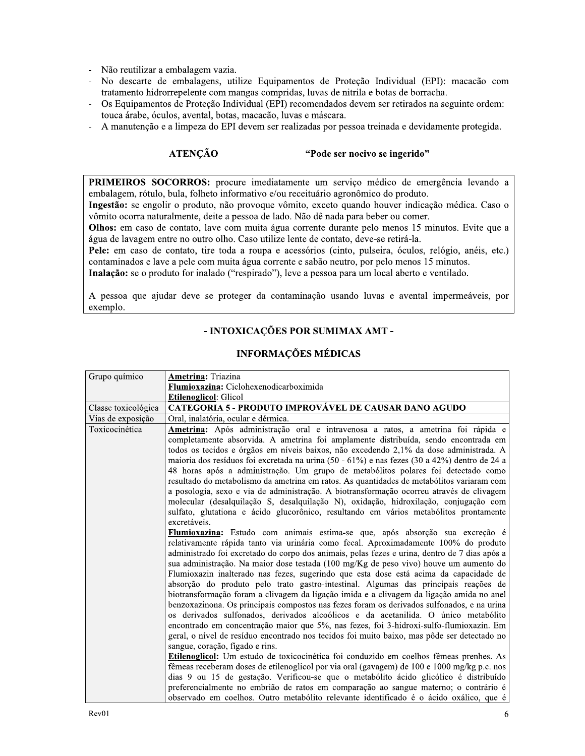- Não reutilizar a embalagem vazia.
- No descarte de embalagens, utilize Equipamentos de Proteção Individual (EPI): macação com  $\Box$ tratamento hidrorrepelente com mangas compridas, luvas de nitrila e botas de borracha.
- Os Equipamentos de Proteção Individual (EPI) recomendados devem ser retirados na seguinte ordem: touca árabe, óculos, avental, botas, macacão, luvas e máscara.
- A manutenção e a limpeza do EPI devem ser realizadas por pessoa treinada e devidamente protegida.

#### **ATENÇÃO**

#### "Pode ser nocivo se ingerido"

PRIMEIROS SOCORROS: procure imediatamente um serviço médico de emergência levando a embalagem, rótulo, bula, folheto informativo e/ou receituário agronômico do produto.

Ingestão: se engolir o produto, não provoque vômito, exceto quando houver indicação médica. Caso o vômito ocorra naturalmente, deite a pessoa de lado. Não dê nada para beber ou comer.

Olhos: em caso de contato, lave com muita água corrente durante pelo menos 15 minutos. Evite que a água de lavagem entre no outro olho. Caso utilize lente de contato, deve-se retirá-la.

Pele: em caso de contato, tire toda a roupa e acessórios (cinto, pulseira, óculos, relógio, anéis, etc.) contaminados e lave a pele com muita água corrente e sabão neutro, por pelo menos 15 minutos.

Inalação: se o produto for inalado ("respirado"), leve a pessoa para um local aberto e ventilado.

A pessoa que ajudar deve se proteger da contaminação usando luvas e avental impermeáveis, por exemplo.

## - INTOXICAÇÕES POR SUMIMAX AMT -

# **INFORMAÇÕES MÉDICAS**

| Grupo químico       | <b>Ametrina: Triazina</b>                                                                                                                                                                                                                                                                                                                                                                                                                                                                                                                                                                                                                                                                                                                                                                                                                                                                                                                                                                                                                                                                                                                                                                                                                                                                                                                                                                                                                                                                                                                                                                                                                                                                                                                                                                                                                                                                                                                                                                                                                                                                                                                                                                                                                                                                                                                                                          |
|---------------------|------------------------------------------------------------------------------------------------------------------------------------------------------------------------------------------------------------------------------------------------------------------------------------------------------------------------------------------------------------------------------------------------------------------------------------------------------------------------------------------------------------------------------------------------------------------------------------------------------------------------------------------------------------------------------------------------------------------------------------------------------------------------------------------------------------------------------------------------------------------------------------------------------------------------------------------------------------------------------------------------------------------------------------------------------------------------------------------------------------------------------------------------------------------------------------------------------------------------------------------------------------------------------------------------------------------------------------------------------------------------------------------------------------------------------------------------------------------------------------------------------------------------------------------------------------------------------------------------------------------------------------------------------------------------------------------------------------------------------------------------------------------------------------------------------------------------------------------------------------------------------------------------------------------------------------------------------------------------------------------------------------------------------------------------------------------------------------------------------------------------------------------------------------------------------------------------------------------------------------------------------------------------------------------------------------------------------------------------------------------------------------|
|                     | Flumioxazina: Ciclohexenodicarboximida                                                                                                                                                                                                                                                                                                                                                                                                                                                                                                                                                                                                                                                                                                                                                                                                                                                                                                                                                                                                                                                                                                                                                                                                                                                                                                                                                                                                                                                                                                                                                                                                                                                                                                                                                                                                                                                                                                                                                                                                                                                                                                                                                                                                                                                                                                                                             |
|                     | <b>Etilenoglicol:</b> Glicol                                                                                                                                                                                                                                                                                                                                                                                                                                                                                                                                                                                                                                                                                                                                                                                                                                                                                                                                                                                                                                                                                                                                                                                                                                                                                                                                                                                                                                                                                                                                                                                                                                                                                                                                                                                                                                                                                                                                                                                                                                                                                                                                                                                                                                                                                                                                                       |
| Classe toxicológica | CATEGORIA 5 - PRODUTO IMPROVÁVEL DE CAUSAR DANO AGUDO                                                                                                                                                                                                                                                                                                                                                                                                                                                                                                                                                                                                                                                                                                                                                                                                                                                                                                                                                                                                                                                                                                                                                                                                                                                                                                                                                                                                                                                                                                                                                                                                                                                                                                                                                                                                                                                                                                                                                                                                                                                                                                                                                                                                                                                                                                                              |
| Vias de exposição   | Oral, inalatória, ocular e dérmica.                                                                                                                                                                                                                                                                                                                                                                                                                                                                                                                                                                                                                                                                                                                                                                                                                                                                                                                                                                                                                                                                                                                                                                                                                                                                                                                                                                                                                                                                                                                                                                                                                                                                                                                                                                                                                                                                                                                                                                                                                                                                                                                                                                                                                                                                                                                                                |
| Toxicocinética      | Ametrina: Após administração oral e intravenosa a ratos, a ametrina foi rápida e<br>completamente absorvida. A ametrina foi amplamente distribuída, sendo encontrada em<br>todos os tecidos e órgãos em níveis baixos, não excedendo 2,1% da dose administrada. A<br>maioria dos resíduos foi excretada na urina (50 - 61%) e nas fezes (30 a 42%) dentro de 24 a<br>48 horas após a administração. Um grupo de metabólitos polares foi detectado como<br>resultado do metabolismo da ametrina em ratos. As quantidades de metabólitos variaram com<br>a posologia, sexo e via de administração. A biotransformação ocorreu através de clivagem<br>molecular (desalquilação S, desalquilação N), oxidação, hidroxilação, conjugação com<br>sulfato, glutationa e ácido glucorônico, resultando em vários metabólitos prontamente<br>excretáveis.<br>Flumioxazina: Estudo com animais estima-se que, após absorção sua excreção é<br>relativamente rápida tanto via urinária como fecal. Aproximadamente 100% do produto<br>administrado foi excretado do corpo dos animais, pelas fezes e urina, dentro de 7 dias após a<br>sua administração. Na maior dose testada (100 mg/Kg de peso vivo) houve um aumento do<br>Flumioxazin inalterado nas fezes, sugerindo que esta dose está acima da capacidade de<br>absorção do produto pelo trato gastro-intestinal. Algumas das principais reações de<br>biotransformação foram a clivagem da ligação imida e a clivagem da ligação amida no anel<br>benzoxazinona. Os principais compostos nas fezes foram os derivados sulfonados, e na urina<br>os derivados sulfonados, derivados alcoólicos e da acetanilida. O único metabólito<br>encontrado em concentração maior que 5%, nas fezes, foi 3-hidroxi-sulfo-flumioxazin. Em<br>geral, o nível de resíduo encontrado nos tecidos foi muito baixo, mas pôde ser detectado no<br>sangue, coração, fígado e rins.<br>Etilenoglicol: Um estudo de toxicocinética foi conduzido em coelhos fêmeas prenhes. As<br>fêmeas receberam doses de etilenoglicol por via oral (gavagem) de 100 e 1000 mg/kg p.c. nos<br>dias 9 ou 15 de gestação. Verificou-se que o metabólito ácido glicólico é distribuído<br>preferencialmente no embrião de ratos em comparação ao sangue materno; o contrário é<br>observado em coelhos. Outro metabólito relevante identificado é o ácido oxálico, que é |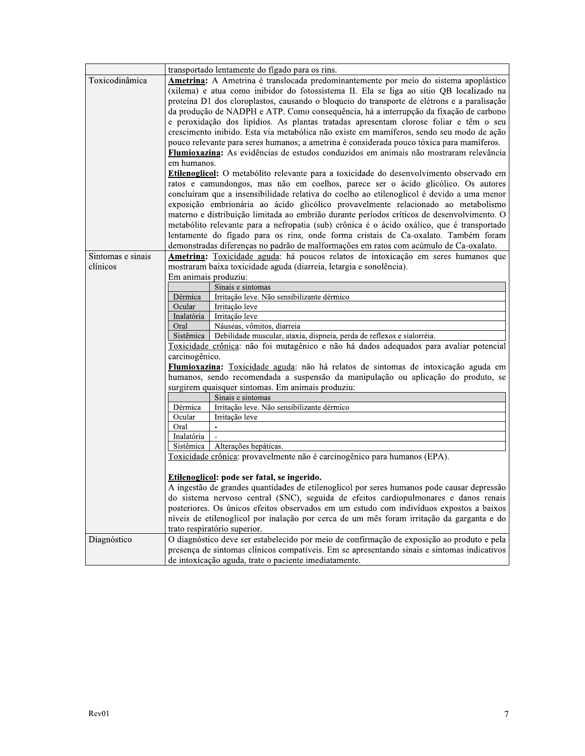|                   | transportado lentamente do fígado para os rins.                                                |  |
|-------------------|------------------------------------------------------------------------------------------------|--|
| Toxicodinâmica    | Ametrina: A Ametrina é translocada predominantemente por meio do sistema apoplástico           |  |
|                   | (xilema) e atua como inibidor do fotossistema II. Ela se liga ao sítio QB localizado na        |  |
|                   | proteína D1 dos cloroplastos, causando o bloqueio do transporte de elétrons e a paralisação    |  |
|                   | da produção de NADPH e ATP. Como consequência, há a interrupção da fixação de carbono          |  |
|                   | e peroxidação dos lipídios. As plantas tratadas apresentam clorose foliar e têm o seu          |  |
|                   | crescimento inibido. Esta via metabólica não existe em mamíferos, sendo seu modo de ação       |  |
|                   |                                                                                                |  |
|                   | pouco relevante para seres humanos; a ametrina é considerada pouco tóxica para mamíferos.      |  |
|                   | Flumioxazina: As evidências de estudos conduzidos em animais não mostraram relevância          |  |
|                   | em humanos.                                                                                    |  |
|                   | <b>Etilenoglicol:</b> O metabólito relevante para a toxicidade do desenvolvimento observado em |  |
|                   | ratos e camundongos, mas não em coelhos, parece ser o ácido glicólico. Os autores              |  |
|                   | concluíram que a insensibilidade relativa do coelho ao etilenoglicol é devido a uma menor      |  |
|                   | exposição embrionária ao ácido glicólico provavelmente relacionado ao metabolismo              |  |
|                   | materno e distribuição limitada ao embrião durante períodos críticos de desenvolvimento. O     |  |
|                   | metabólito relevante para a nefropatia (sub) crônica é o ácido oxálico, que é transportado     |  |
|                   | lentamente do fígado para os rins, onde forma cristais de Ca-oxalato. Também foram             |  |
|                   | demonstradas diferenças no padrão de malformações em ratos com acúmulo de Ca-oxalato.          |  |
| Sintomas e sinais | Ametrina: Toxicidade aguda: há poucos relatos de intoxicação em seres humanos que              |  |
| clínicos          | mostraram baixa toxicidade aguda (diarreia, letargia e sonolência).                            |  |
|                   | Em animais produziu:                                                                           |  |
|                   | Sinais e sintomas                                                                              |  |
|                   | Irritação leve. Não sensibilizante dérmico<br>Dérmica                                          |  |
|                   | Ocular<br>Irritação leve                                                                       |  |
|                   | Inalatória<br>Irritação leve                                                                   |  |
|                   | Náuseas, vômitos, diarreia<br>Oral                                                             |  |
|                   | Sistêmica  <br>Debilidade muscular, ataxia, dispneia, perda de reflexos e sialorréia.          |  |
|                   | Toxicidade crônica: não foi mutagênico e não há dados adequados para avaliar potencial         |  |
|                   | carcinogênico.                                                                                 |  |
|                   | <b>Flumioxazina:</b> Toxicidade aguda: não há relatos de sintomas de intoxicação aguda em      |  |
|                   | humanos, sendo recomendada a suspensão da manipulação ou aplicação do produto, se              |  |
|                   | surgirem quaisquer sintomas. Em animais produziu:                                              |  |
|                   | Sinais e sintomas                                                                              |  |
|                   |                                                                                                |  |
|                   | Dérmica<br>Irritação leve. Não sensibilizante dérmico<br>Ocular                                |  |
|                   | Irritação leve<br>Oral                                                                         |  |
|                   | Inalatória                                                                                     |  |
|                   | Sistêmica<br>Alterações hepáticas.                                                             |  |
|                   |                                                                                                |  |
|                   | Toxicidade crônica: provavelmente não é carcinogênico para humanos (EPA).                      |  |
|                   | Etilenoglicol: pode ser fatal, se ingerido.                                                    |  |
|                   | A ingestão de grandes quantidades de etilenoglicol por seres humanos pode causar depressão     |  |
|                   | do sistema nervoso central (SNC), seguida de efeitos cardiopulmonares e danos renais           |  |
|                   | posteriores. Os únicos efeitos observados em um estudo com indivíduos expostos a baixos        |  |
|                   | níveis de etilenoglicol por inalação por cerca de um mês foram irritação da garganta e do      |  |
|                   | trato respiratório superior.                                                                   |  |
| Diagnóstico       | O diagnóstico deve ser estabelecido por meio de confirmação de exposição ao produto e pela     |  |
|                   | presença de sintomas clínicos compatíveis. Em se apresentando sinais e sintomas indicativos    |  |
|                   | de intoxicação aguda, trate o paciente imediatamente.                                          |  |
|                   |                                                                                                |  |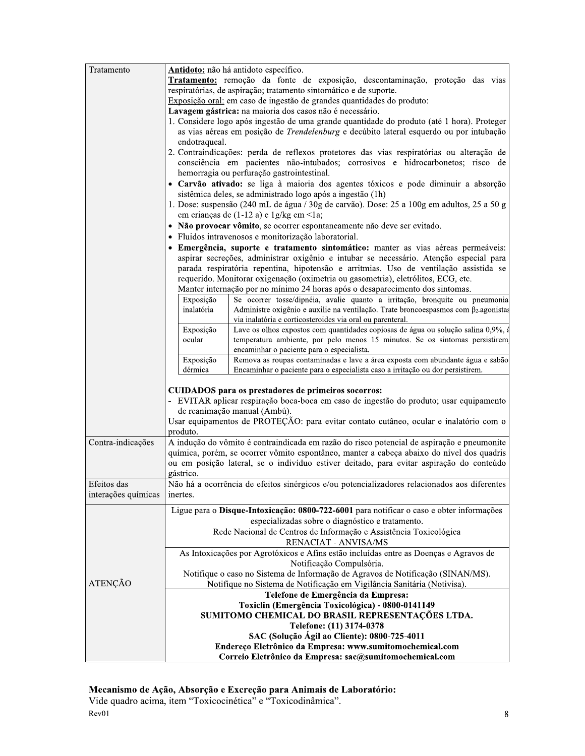| Tratamento          | Antidoto: não há antidoto específico.                                                                    |  |  |
|---------------------|----------------------------------------------------------------------------------------------------------|--|--|
|                     | Tratamento: remoção da fonte de exposição, descontaminação, proteção das vias                            |  |  |
|                     | respiratórias, de aspiração; tratamento sintomático e de suporte.                                        |  |  |
|                     | Exposição oral: em caso de ingestão de grandes quantidades do produto:                                   |  |  |
|                     | Lavagem gástrica: na maioria dos casos não é necessário.                                                 |  |  |
|                     | 1. Considere logo após ingestão de uma grande quantidade do produto (até 1 hora). Proteger               |  |  |
|                     | as vias aéreas em posição de Trendelenburg e decúbito lateral esquerdo ou por intubação                  |  |  |
|                     | endotraqueal.                                                                                            |  |  |
|                     | 2. Contraindicações: perda de reflexos protetores das vias respiratórias ou alteração de                 |  |  |
|                     | consciência em pacientes não-intubados; corrosivos e hidrocarbonetos; risco de                           |  |  |
|                     | hemorragia ou perfuração gastrointestinal.                                                               |  |  |
|                     | · Carvão ativado: se liga à maioria dos agentes tóxicos e pode diminuir a absorção                       |  |  |
|                     | sistêmica deles, se administrado logo após a ingestão (1h)                                               |  |  |
|                     | 1. Dose: suspensão (240 mL de água / 30g de carvão). Dose: 25 a 100g em adultos, 25 a 50 g               |  |  |
|                     | em crianças de (1-12 a) e 1g/kg em <1a;                                                                  |  |  |
|                     | • Não provocar vômito, se ocorrer espontaneamente não deve ser evitado.                                  |  |  |
|                     | · Fluidos intravenosos e monitorização laboratorial.                                                     |  |  |
|                     | · Emergência, suporte e tratamento sintomático: manter as vias aéreas permeáveis:                        |  |  |
|                     | aspirar secreções, administrar oxigênio e intubar se necessário. Atenção especial para                   |  |  |
|                     | parada respiratória repentina, hipotensão e arritmias. Uso de ventilação assistida se                    |  |  |
|                     | requerido. Monitorar oxigenação (oximetria ou gasometria), eletrólitos, ECG, etc.                        |  |  |
|                     | Manter internação por no mínimo 24 horas após o desaparecimento dos sintomas.                            |  |  |
|                     | Se ocorrer tosse/dipnéia, avalie quanto a irritação, bronquite ou pneumonia<br>Exposição                 |  |  |
|                     | inalatória<br>Administre oxigênio e auxilie na ventilação. Trate broncoespasmos com $\beta_2$ -agonistas |  |  |
|                     | via inalatória e corticosteroides via oral ou parenteral.                                                |  |  |
|                     | Exposição<br>Lave os olhos expostos com quantidades copiosas de água ou solução salina 0,9%, a           |  |  |
|                     | temperatura ambiente, por pelo menos 15 minutos. Se os sintomas persistirem<br>ocular                    |  |  |
|                     | encaminhar o paciente para o especialista.                                                               |  |  |
|                     | Remova as roupas contaminadas e lave a área exposta com abundante água e sabão<br>Exposição              |  |  |
|                     | dérmica<br>Encaminhar o paciente para o especialista caso a irritação ou dor persistirem.                |  |  |
|                     |                                                                                                          |  |  |
|                     | CUIDADOS para os prestadores de primeiros socorros:                                                      |  |  |
|                     | - EVITAR aplicar respiração boca-boca em caso de ingestão do produto; usar equipamento                   |  |  |
|                     | de reanimação manual (Ambú).                                                                             |  |  |
|                     | Usar equipamentos de PROTEÇÃO: para evitar contato cutâneo, ocular e inalatório com o                    |  |  |
|                     | produto.                                                                                                 |  |  |
| Contra-indicações   | A indução do vômito é contraindicada em razão do risco potencial de aspiração e pneumonite               |  |  |
|                     | química, porém, se ocorrer vômito espontâneo, manter a cabeça abaixo do nível dos quadris                |  |  |
|                     | ou em posição lateral, se o indivíduo estiver deitado, para evitar aspiração do conteúdo                 |  |  |
|                     | gástrico.                                                                                                |  |  |
| Efeitos das         | Não há a ocorrência de efeitos sinérgicos e/ou potencializadores relacionados aos diferentes             |  |  |
| interações químicas |                                                                                                          |  |  |
|                     | inertes.                                                                                                 |  |  |
|                     | Ligue para o Disque-Intoxicação: 0800-722-6001 para notificar o caso e obter informações                 |  |  |
|                     | especializadas sobre o diagnóstico e tratamento.                                                         |  |  |
|                     | Rede Nacional de Centros de Informação e Assistência Toxicológica                                        |  |  |
|                     | <b>RENACIAT - ANVISA/MS</b>                                                                              |  |  |
|                     | As Intoxicações por Agrotóxicos e Afins estão incluídas entre as Doenças e Agravos de                    |  |  |
|                     | Notificação Compulsória.                                                                                 |  |  |
|                     | Notifique o caso no Sistema de Informação de Agravos de Notificação (SINAN/MS).                          |  |  |
| ATENÇÃO             | Notifique no Sistema de Notificação em Vigilância Sanitária (Notivisa).                                  |  |  |
|                     | Telefone de Emergência da Empresa:                                                                       |  |  |
|                     | Toxiclin (Emergência Toxicológica) - 0800-0141149                                                        |  |  |
|                     | SUMITOMO CHEMICAL DO BRASIL REPRESENTAÇÕES LTDA.                                                         |  |  |
|                     | Telefone: (11) 3174-0378                                                                                 |  |  |
|                     | SAC (Solução Ágil ao Cliente): 0800-725-4011                                                             |  |  |
|                     | Endereço Eletrônico da Empresa: www.sumitomochemical.com                                                 |  |  |
|                     | Correio Eletrônico da Empresa: sac@sumitomochemical.com                                                  |  |  |

Mecanismo de Ação, Absorção e Excreção para Animais de Laboratório:<br>Vide quadro acima, item "Toxicocinética" e "Toxicodinâmica".  $Rev01$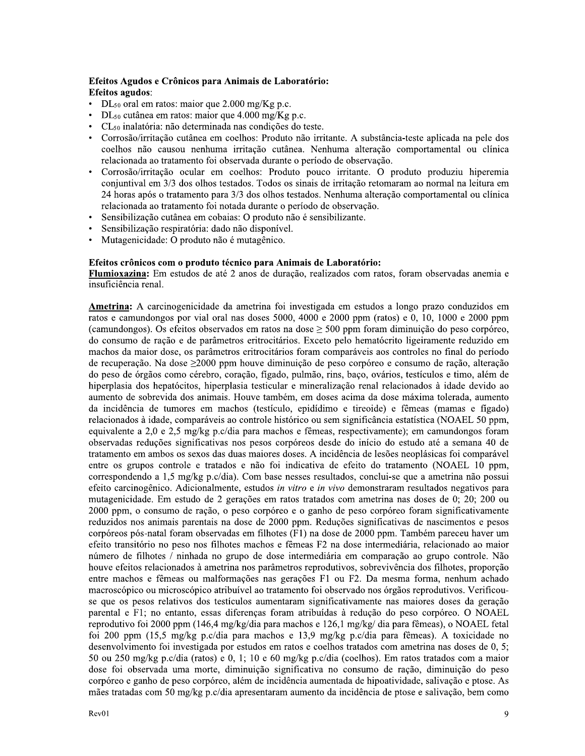#### Efeitos Agudos e Crônicos para Animais de Laboratório: **Efeitos agudos:**

- $DL_{50}$  oral em ratos: maior que 2.000 mg/Kg p.c.
- DL<sub>50</sub> cutânea em ratos: maior que 4.000 mg/Kg p.c.
- CL<sub>50</sub> inalatória: não determinada nas condições do teste.
- Corrosão/irritação cutânea em coelhos: Produto não irritante. A substância-teste aplicada na pele dos coelhos não causou nenhuma irritação cutânea. Nenhuma alteração comportamental ou clínica relacionada ao tratamento foi observada durante o período de observação.
- Corrosão/irritação ocular em coelhos: Produto pouco irritante. O produto produziu hiperemia conjuntival em 3/3 dos olhos testados. Todos os sinais de irritação retomaram ao normal na leitura em 24 horas após o tratamento para 3/3 dos olhos testados. Nenhuma alteração comportamental ou clínica relacionada ao tratamento foi notada durante o período de observação.
- Sensibilização cutânea em cobaias: O produto não é sensibilizante.
- Sensibilização respiratória: dado não disponível.
- Mutagenicidade: O produto não é mutagênico.

#### Efeitos crônicos com o produto técnico para Animais de Laboratório:

Flumioxazina: Em estudos de até 2 anos de duração, realizados com ratos, foram observadas anemia e insuficiência renal.

Ametrina: A carcinogenicidade da ametrina foi investigada em estudos a longo prazo conduzidos em ratos e camundongos por vial oral nas doses 5000, 4000 e 2000 ppm (ratos) e 0, 10, 1000 e 2000 ppm (camundongos). Os efeitos observados em ratos na dose  $\geq$  500 ppm foram diminuição do peso corpóreo, do consumo de ração e de parâmetros eritrocitários. Exceto pelo hematócrito ligeiramente reduzido em machos da maior dose, os parâmetros eritrocitários foram comparáveis aos controles no final do período de recuperação. Na dose ≥2000 ppm houve diminuição de peso corpóreo e consumo de ração, alteração do peso de órgãos como cérebro, coração, fígado, pulmão, rins, baço, ovários, testículos e timo, além de hiperplasia dos hepatócitos, hiperplasia testicular e mineralização renal relacionados à idade devido ao aumento de sobrevida dos animais. Houve também, em doses acima da dose máxima tolerada, aumento da incidência de tumores em machos (testículo, epidídimo e tireoide) e fêmeas (mamas e fígado) relacionados à idade, comparáveis ao controle histórico ou sem significância estatística (NOAEL 50 ppm, equivalente a 2,0 e 2,5 mg/kg p.c/dia para machos e fêmeas, respectivamente); em camundongos foram observadas reduções significativas nos pesos corpóreos desde do início do estudo até a semana 40 de tratamento em ambos os sexos das duas maiores doses. A incidência de lesões neoplásicas foi comparável entre os grupos controle e tratados e não foi indicativa de efeito do tratamento (NOAEL 10 ppm, correspondendo a 1,5 mg/kg p.c/dia). Com base nesses resultados, conclui-se que a ametrina não possui efeito carcinogênico. Adicionalmente, estudos in vitro e in vivo demonstraram resultados negativos para mutagenicidade. Em estudo de 2 gerações em ratos tratados com ametrina nas doses de 0; 20; 200 ou 2000 ppm, o consumo de ração, o peso corpóreo e o ganho de peso corpóreo foram significativamente reduzidos nos animais parentais na dose de 2000 ppm. Reduções significativas de nascimentos e pesos corpóreos pós-natal foram observadas em filhotes (F1) na dose de 2000 ppm. Também pareceu haver um efeito transitório no peso nos filhotes machos e fêmeas F2 na dose intermediária, relacionado ao maior número de filhotes / ninhada no grupo de dose intermediária em comparação ao grupo controle. Não houve efeitos relacionados à ametrina nos parâmetros reprodutivos, sobrevivência dos filhotes, proporção entre machos e fêmeas ou malformações nas gerações F1 ou F2. Da mesma forma, nenhum achado macroscópico ou microscópico atribuível ao tratamento foi observado nos órgãos reprodutivos. Verificouse que os pesos relativos dos testículos aumentaram significativamente nas maiores doses da geração parental e F1; no entanto, essas diferenças foram atribuídas à redução do peso corpóreo. O NOAEL reprodutivo foi 2000 ppm (146,4 mg/kg/dia para machos e 126,1 mg/kg/ dia para fêmeas), o NOAEL fetal foi 200 ppm (15,5 mg/kg p.c/dia para machos e 13,9 mg/kg p.c/dia para fêmeas). A toxicidade no desenvolvimento foi investigada por estudos em ratos e coelhos tratados com ametrina nas doses de 0, 5; 50 ou 250 mg/kg p.c/dia (ratos) e 0, 1; 10 e 60 mg/kg p.c/dia (coelhos). Em ratos tratados com a maior dose foi observada uma morte, diminuição significativa no consumo de ração, diminuição do peso corpóreo e ganho de peso corpóreo, além de incidência aumentada de hipoatividade, salivação e ptose. As mães tratadas com 50 mg/kg p.c/dia apresentaram aumento da incidência de ptose e salivação, bem como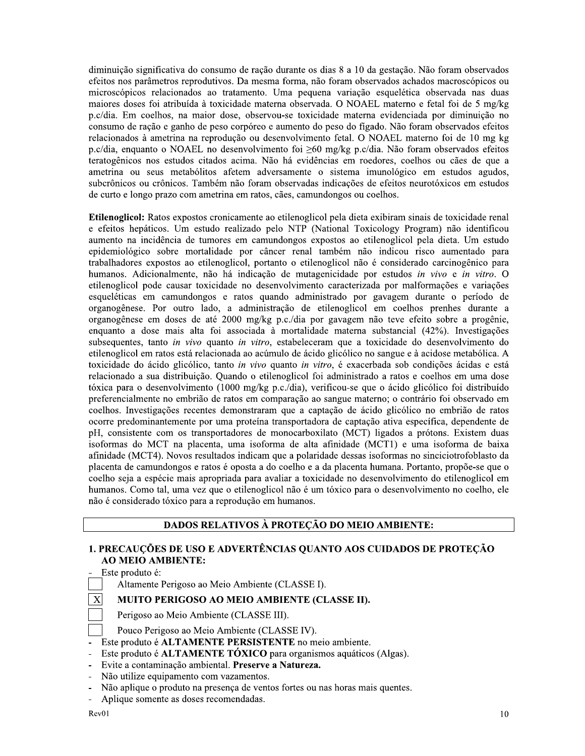diminuição significativa do consumo de ração durante os dias 8 a 10 da gestação. Não foram observados efeitos nos parâmetros reprodutivos. Da mesma forma, não foram observados achados macroscópicos ou microscópicos relacionados ao tratamento. Uma pequena variação esquelética observada nas duas maiores doses foi atribuída à toxicidade materna observada. O NOAEL materno e fetal foi de 5 mg/kg p.c/dia. Em coelhos, na maior dose, observou-se toxicidade materna evidenciada por diminuição no consumo de ração e ganho de peso corpóreo e aumento do peso do fígado. Não foram observados efeitos relacionados à ametrina na reprodução ou desenvolvimento fetal. O NOAEL materno foi de 10 mg kg p.c/dia, enquanto o NOAEL no desenvolvimento foi  $\geq 60$  mg/kg p.c/dia. Não foram observados efeitos teratogênicos nos estudos citados acima. Não há evidências em roedores, coelhos ou cães de que a ametrina ou seus metabólitos afetem adversamente o sistema imunológico em estudos agudos, subcrônicos ou crônicos. Também não foram observadas indicações de efeitos neurotóxicos em estudos de curto e longo prazo com ametrina em ratos, cães, camundongos ou coelhos.

Etilenoglicol: Ratos expostos cronicamente ao etilenoglicol pela dieta exibiram sinais de toxicidade renal e efeitos hepáticos. Um estudo realizado pelo NTP (National Toxicology Program) não identificou aumento na incidência de tumores em camundongos expostos ao etilenoglicol pela dieta. Um estudo epidemiológico sobre mortalidade por câncer renal também não indicou risco aumentado para trabalhadores expostos ao etilenoglicol, portanto o etilenoglicol não é considerado carcinogênico para humanos. Adicionalmente, não há indicação de mutagenicidade por estudos in vivo e in vitro. O etilenoglicol pode causar toxicidade no desenvolvimento caracterizada por malformações e variações esqueléticas em camundongos e ratos quando administrado por gavagem durante o período de organogênese. Por outro lado, a administração de etilenoglicol em coelhos prenhes durante a organogênese em doses de até 2000 mg/kg p.c./dia por gavagem não teve efeito sobre a progênie, enquanto a dose mais alta foi associada à mortalidade materna substancial (42%). Investigações subsequentes, tanto in vivo quanto in vitro, estabeleceram que a toxicidade do desenvolvimento do etilenoglicol em ratos está relacionada ao acúmulo de ácido glicólico no sangue e à acidose metabólica. A toxicidade do ácido glicólico, tanto in vivo quanto in vitro, é exacerbada sob condições ácidas e está relacionado a sua distribuição. Quando o etilenoglicol foi administrado a ratos e coelhos em uma dose tóxica para o desenvolvimento (1000 mg/kg p.c./dia), verificou-se que o ácido glicólico foi distribuído preferencialmente no embrião de ratos em comparação ao sangue materno; o contrário foi observado em coelhos. Investigações recentes demonstraram que a captação de ácido glicólico no embrião de ratos ocorre predominantemente por uma proteína transportadora de captação ativa específica, dependente de pH, consistente com os transportadores de monocarboxilato (MCT) ligados a prótons. Existem duas isoformas do MCT na placenta, uma isoforma de alta afinidade (MCT1) e uma isoforma de baixa afinidade (MCT4). Novos resultados indicam que a polaridade dessas isoformas no sinciciotrofoblasto da placenta de camundongos e ratos é oposta a do coelho e a da placenta humana. Portanto, propõe-se que o coelho seja a espécie mais apropriada para avaliar a toxicidade no desenvolvimento do etilenoglicol em humanos. Como tal, uma vez que o etilenoglicol não é um tóxico para o desenvolvimento no coelho, ele não é considerado tóxico para a reprodução em humanos.

## DADOS RELATIVOS À PROTEÇÃO DO MEIO AMBIENTE:

#### 1. PRECAUÇÕES DE USO E ADVERTÊNCIAS QUANTO AOS CUIDADOS DE PROTEÇÃO **AO MEIO AMBIENTE:**

Este produto é:

Altamente Perigoso ao Meio Ambiente (CLASSE I).

#### MUITO PERIGOSO AO MEIO AMBIENTE (CLASSE II).

Perigoso ao Meio Ambiente (CLASSE III).

Pouco Perigoso ao Meio Ambiente (CLASSE IV).

- Este produto é ALTAMENTE PERSISTENTE no meio ambiente.
- Este produto é ALTAMENTE TÓXICO para organismos aquáticos (Algas).
- Evite a contaminação ambiental. Preserve a Natureza.
- Não utilize equipamento com vazamentos.
- Não aplique o produto na presença de ventos fortes ou nas horas mais quentes.
- Aplique somente as doses recomendadas.

 $\mathbf X$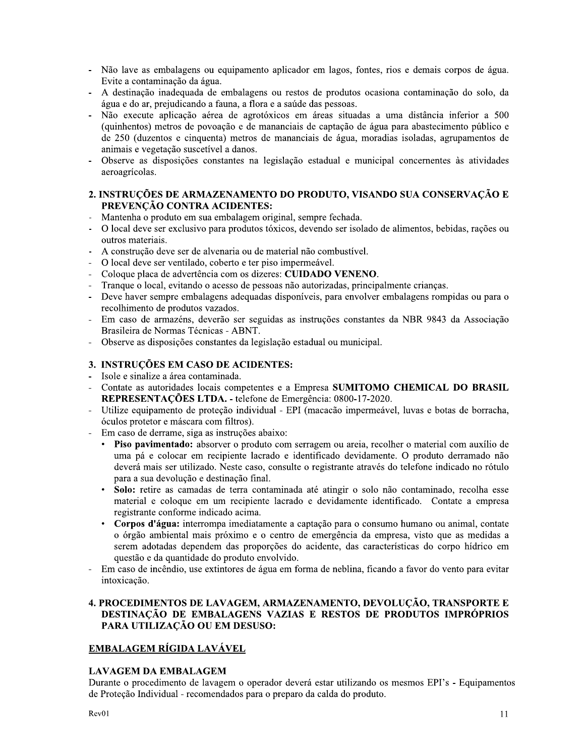- Não lave as embalagens ou equipamento aplicador em lagos, fontes, rios e demais corpos de água. Evite a contaminação da água.
- A destinação inadequada de embalagens ou restos de produtos ocasiona contaminação do solo, da água e do ar, prejudicando a fauna, a flora e a saúde das pessoas.
- Não execute aplicação aérea de agrotóxicos em áreas situadas a uma distância inferior a 500 (quinhentos) metros de povoação e de mananciais de captação de água para abastecimento público e de 250 (duzentos e cinquenta) metros de mananciais de água, moradias isoladas, agrupamentos de animais e vegetação suscetível a danos.
- Observe as disposições constantes na legislação estadual e municipal concernentes às atividades aeroagrícolas.

#### 2. INSTRUÇÕES DE ARMAZENAMENTO DO PRODUTO, VISANDO SUA CONSERVAÇÃO E PREVENÇÃO CONTRA ACIDENTES:

- Mantenha o produto em sua embalagem original, sempre fechada.
- O local deve ser exclusivo para produtos tóxicos, devendo ser isolado de alimentos, bebidas, rações ou  $\Box$ outros materiais.
- A construção deve ser de alvenaria ou de material não combustível.
- O local deve ser ventilado, coberto e ter piso impermeável.
- Coloque placa de advertência com os dizeres: CUIDADO VENENO.
- Tranque o local, evitando o acesso de pessoas não autorizadas, principalmente criancas.
- Deve haver sempre embalagens adequadas disponíveis, para envolver embalagens rompidas ou para o recolhimento de produtos vazados.
- Em caso de armazéns, deverão ser seguidas as instruções constantes da NBR 9843 da Associação Brasileira de Normas Técnicas - ABNT.
- Observe as disposições constantes da legislação estadual ou municipal.

## 3. INSTRUÇÕES EM CASO DE ACIDENTES:

- Isole e sinalize a área contaminada.
- Contate as autoridades locais competentes e a Empresa SUMITOMO CHEMICAL DO BRASIL REPRESENTAÇÕES LTDA. - telefone de Emergência: 0800-17-2020.
- Utilize equipamento de proteção individual EPI (macacão impermeável, luvas e botas de borracha, óculos protetor e máscara com filtros).
- Em caso de derrame, siga as instruções abaixo:
	- Piso pavimentado: absorver o produto com serragem ou areia, recolher o material com auxílio de uma pá e colocar em recipiente lacrado e identificado devidamente. O produto derramado não deverá mais ser utilizado. Neste caso, consulte o registrante através do telefone indicado no rótulo para a sua devolução e destinação final.
	- $\bullet$ Solo: retire as camadas de terra contaminada até atingir o solo não contaminado, recolha esse material e coloque em um recipiente lacrado e devidamente identificado. Contate a empresa registrante conforme indicado acima.
	- $\bullet$ Corpos d'água: interrompa imediatamente a captação para o consumo humano ou animal, contate o órgão ambiental mais próximo e o centro de emergência da empresa, visto que as medidas a serem adotadas dependem das proporções do acidente, das características do corpo hídrico em questão e da quantidade do produto envolvido.
- Em caso de incêndio, use extintores de água em forma de neblina, ficando a favor do vento para evitar intoxicação.

#### 4. PROCEDIMENTOS DE LAVAGEM, ARMAZENAMENTO, DEVOLUÇÃO, TRANSPORTE E DESTINAÇÃO DE EMBALAGENS VAZIAS E RESTOS DE PRODUTOS IMPRÓPRIOS PARA UTILIZAÇÃO OU EM DESUSO:

## EMBALAGEM RÍGIDA LAVÁVEL

## **LAVAGEM DA EMBALAGEM**

Durante o procedimento de lavagem o operador deverá estar utilizando os mesmos EPI's - Equipamentos de Proteção Individual - recomendados para o preparo da calda do produto.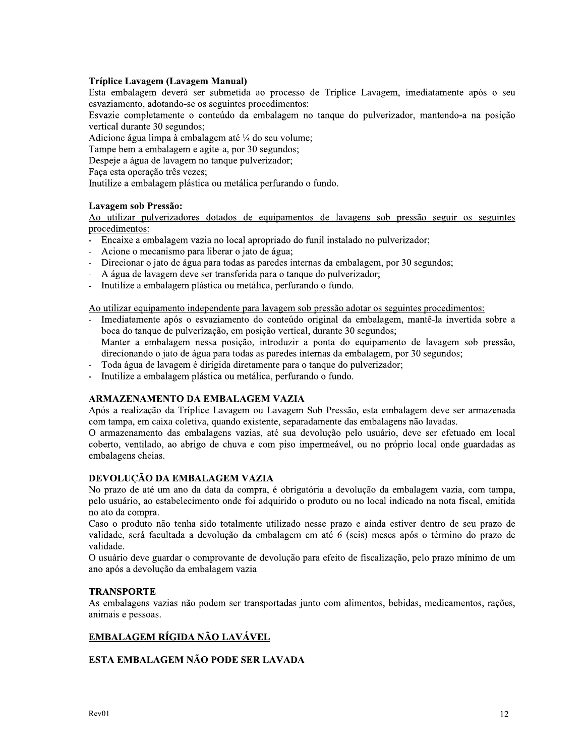#### Tríplice Lavagem (Lavagem Manual)

Esta embalagem deverá ser submetida ao processo de Tríplice Lavagem, imediatamente após o seu esvaziamento, adotando-se os seguintes procedimentos:

Esvazie completamente o conteúdo da embalagem no tanque do pulverizador, mantendo-a na posição vertical durante 30 segundos;

Adicione água limpa à embalagem até ¼ do seu volume;

Tampe bem a embalagem e agite-a, por 30 segundos;

Despeje a água de lavagem no tanque pulverizador;

Faça esta operação três vezes;

Inutilize a embalagem plástica ou metálica perfurando o fundo.

#### Lavagem sob Pressão:

Ao utilizar pulverizadores dotados de equipamentos de lavagens sob pressão seguir os seguintes procedimentos:

- Encaixe a embalagem vazia no local apropriado do funil instalado no pulverizador;
- Acione o mecanismo para liberar o jato de água;
- Direcionar o jato de água para todas as paredes internas da embalagem, por 30 segundos;
- A água de lavagem deve ser transferida para o tanque do pulverizador;
- $\overline{a}$ Inutilize a embalagem plástica ou metálica, perfurando o fundo.

Ao utilizar equipamento independente para lavagem sob pressão adotar os seguintes procedimentos:

- Imediatamente após o esvaziamento do conteúdo original da embalagem, mantê-la invertida sobre a boca do tanque de pulverização, em posição vertical, durante 30 segundos;
- Manter a embalagem nessa posição, introduzir a ponta do equipamento de lavagem sob pressão, direcionando o jato de água para todas as paredes internas da embalagem, por 30 segundos;
- Toda água de lavagem é dirigida diretamente para o tanque do pulverizador;  $\mathbb{L}$
- $\overline{a}$ Inutilize a embalagem plástica ou metálica, perfurando o fundo.

#### ARMAZENAMENTO DA EMBALAGEM VAZIA

Após a realização da Tríplice Lavagem ou Lavagem Sob Pressão, esta embalagem deve ser armazenada com tampa, em caixa coletiva, quando existente, separadamente das embalagens não lavadas.

O armazenamento das embalagens vazias, até sua devolução pelo usuário, deve ser efetuado em local coberto, ventilado, ao abrigo de chuva e com piso impermeável, ou no próprio local onde guardadas as embalagens cheias.

## DEVOLUÇÃO DA EMBALAGEM VAZIA

No prazo de até um ano da data da compra, é obrigatória a devolução da embalagem vazia, com tampa, pelo usuário, ao estabelecimento onde foi adquirido o produto ou no local indicado na nota fiscal, emitida no ato da compra.

Caso o produto não tenha sido totalmente utilizado nesse prazo e ainda estiver dentro de seu prazo de validade, será facultada a devolução da embalagem em até 6 (seis) meses após o término do prazo de validade.

O usuário deve guardar o comprovante de devolução para efeito de fiscalização, pelo prazo mínimo de um ano após a devolução da embalagem vazia

#### **TRANSPORTE**

As embalagens vazias não podem ser transportadas junto com alimentos, bebidas, medicamentos, rações, animais e pessoas.

# EMBALAGEM RÍGIDA NÃO LAVÁVEL

#### ESTA EMBALAGEM NÃO PODE SER LAVADA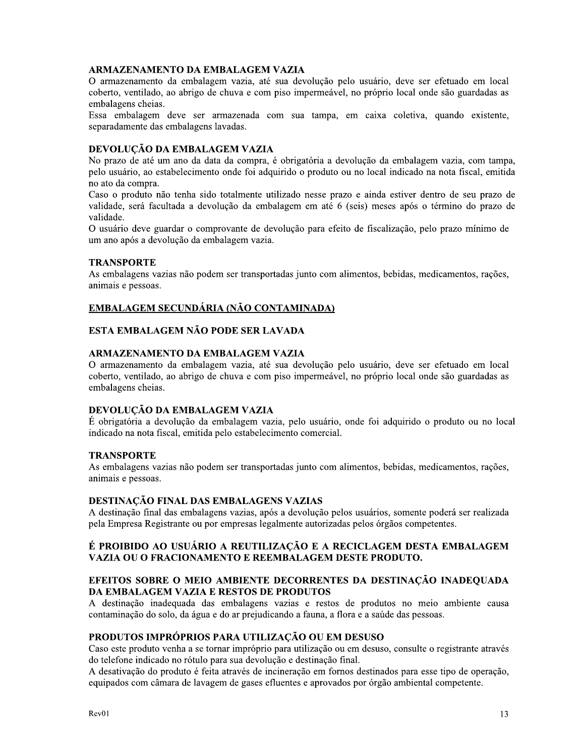#### **ARMAZENAMENTO DA EMBALAGEM VAZIA**

O armazenamento da embalagem vazia, até sua devolução pelo usuário, deve ser efetuado em local coberto, ventilado, ao abrigo de chuva e com piso impermeável, no próprio local onde são guardadas as embalagens cheias.

Essa embalagem deve ser armazenada com sua tampa, em caixa coletiva, quando existente, separadamente das embalagens lavadas.

#### DEVOLUCÃO DA EMBALAGEM VAZIA

No prazo de até um ano da data da compra, é obrigatória a devolução da embalagem vazia, com tampa, pelo usuário, ao estabelecimento onde foi adquirido o produto ou no local indicado na nota fiscal, emitida no ato da compra.

Caso o produto não tenha sido totalmente utilizado nesse prazo e ainda estiver dentro de seu prazo de validade, será facultada a devolução da embalagem em até 6 (seis) meses após o término do prazo de validade.

O usuário deve guardar o comprovante de devolução para efeito de fiscalização, pelo prazo mínimo de um ano após a devolução da embalagem vazia.

#### **TRANSPORTE**

As embalagens vazias não podem ser transportadas junto com alimentos, bebidas, medicamentos, rações, animais e pessoas.

#### EMBALAGEM SECUNDÁRIA (NÃO CONTAMINADA)

# ESTA EMBALAGEM NÃO PODE SER LAVADA

#### ARMAZENAMENTO DA EMBALAGEM VAZIA

O armazenamento da embalagem vazia, até sua devolução pelo usuário, deve ser efetuado em local coberto, ventilado, ao abrigo de chuva e com piso impermeável, no próprio local onde são guardadas as embalagens cheias.

#### DEVOLUÇÃO DA EMBALAGEM VAZIA

É obrigatória a devolução da embalagem vazia, pelo usuário, onde foi adquirido o produto ou no local indicado na nota fiscal, emitida pelo estabelecimento comercial.

#### **TRANSPORTE**

As embalagens vazias não podem ser transportadas junto com alimentos, bebidas, medicamentos, rações, animais e pessoas.

# DESTINAÇÃO FINAL DAS EMBALAGENS VAZIAS

A destinação final das embalagens vazias, após a devolução pelos usuários, somente poderá ser realizada pela Empresa Registrante ou por empresas legalmente autorizadas pelos órgãos competentes.

#### É PROIBIDO AO USUÁRIO A REUTILIZAÇÃO E A RECICLAGEM DESTA EMBALAGEM VAZIA OU O FRACIONAMENTO E REEMBALAGEM DESTE PRODUTO.

#### EFEITOS SOBRE O MEIO AMBIENTE DECORRENTES DA DESTINAÇÃO INADEQUADA DA EMBALAGEM VAZIA E RESTOS DE PRODUTOS

A destinação inadequada das embalagens vazias e restos de produtos no meio ambiente causa contaminação do solo, da água e do ar prejudicando a fauna, a flora e a saúde das pessoas.

#### PRODUTOS IMPRÓPRIOS PARA UTILIZAÇÃO OU EM DESUSO

Caso este produto venha a se tornar impróprio para utilização ou em desuso, consulte o registrante através do telefone indicado no rótulo para sua devolução e destinação final.

A desativação do produto é feita através de incineração em fornos destinados para esse tipo de operação, equipados com câmara de lavagem de gases efluentes e aprovados por órgão ambiental competente.